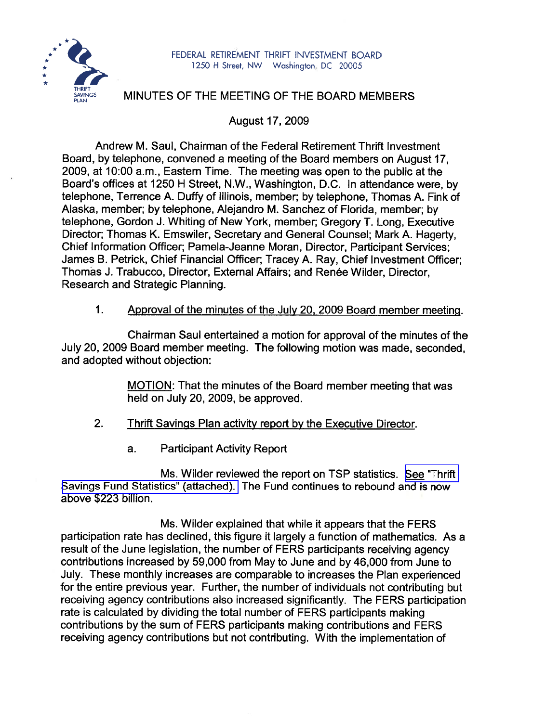

## **MINUTES OF THE MEETING OF THE BOARD MEMBERS**

August 17,2009

Andrew M. Saul, Chairman of the Federal Retirement Thrift lnvestment Board, by telephone, convened a meeting of the Board members on August 17, 2009, at 10:OO a.m., Eastern Time. The meeting was open to the public at the Board's offices at 1250 H Street, N.W., Washington, D.C. In attendance were, by telephone, Terrence A. Duffy of Illinois, member; by telephone, Thomas A. Fink of Alaska, member; by telephone, Alejandro M. Sanchez of Florida, member; by telephone, Gordon J. Whiting of New York, member; Gregory T. Long, Executive Director; Thomas K. Emswiler, Secretary and General Counsel; Mark A. Hagerty, Chief Information Officer; Pamela-Jeanne Moran, Director, Participant Services; James B. Petrick, Chief Financial Officer; Tracey A. Ray, Chief lnvestment Officer; Thomas J. Trabucco, Director, External Affairs; and Renée Wilder, Director, Research and Strategic Planning.

## $1<sub>1</sub>$ Approval of the minutes of the July 20.2009 Board member meeting.

Chairman Saul entertained a motion for approval of the minutes of the July 20, 2009 Board member meeting. The following motion was made, seconded, and adopted without objection:

> MOTION: That the minutes of the Board member meeting that was held on July 20, 2009, be approved.

 $2.$ Thrift Savinqs Plan activity report by the Executive Director.

> a. Participant Activity Report

Ms. Wilder reviewed the report on TSP statistics. *[See](http://www.frtib.gov/pdf/minutes/MM-2009Aug-Att1.pdf)* "Thrift [Savings Fund Statistics" \(attached\).](http://www.frtib.gov/pdf/minutes/MM-2009Aug-Att1.pdf) The Fund continues to rebound and is now above \$223 billion.

Ms. Wilder explained that while it appears that the FERS participation rate has declined, this figure it largely a function of mathematics. As a result of the June legislation, the number of FERS participants receiving agency contributions increased by 59,000 from May to June and by 46,000 from June to July. These monthly increases are comparable to increases the Plan experienced for the entire previous year. Further, the number of individuals not contributing but receiving agency contributions also increased significantly. The FERS participation rate is calculated by dividing the total number of FERS participants making contributions by the sum of FERS participants making contributions and FERS receiving agency contributions but not contributing. With the implementation of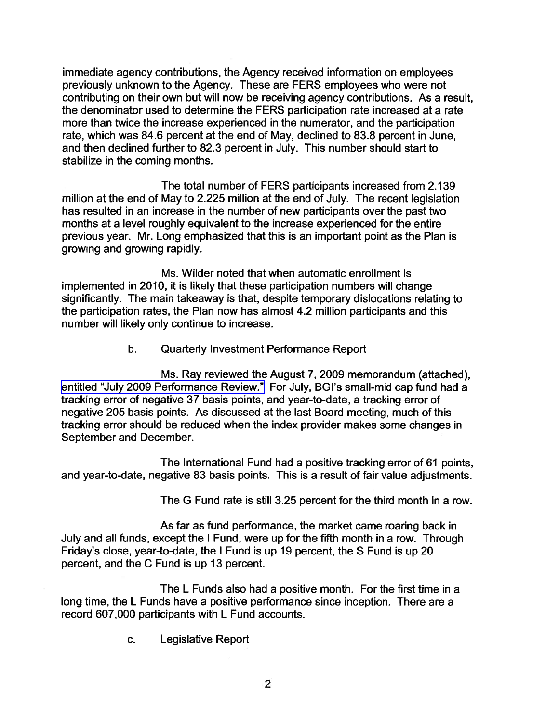immediate agency contributions, the Agency received information on employees previously unknown to the Agency. These are FERS employees who were not contributing on their own but will now be receiving agency contributions. As a result, the denominator used to determine the FERS participation rate increased at a rate more than twice the increase experienced in the numerator, and the participation rate, which was 84.6 percent at the end of May, declined to 83.8 percent in June, and then declined further to 82.3 percent in July. This number should start to stabilize in the coming months.

The total number of FERS participants increased from 2.139 million at the end of May to 2.225 million at the end of July. The recent legislation has resulted in an increase in the number of new participants over the past two months at a level roughly equivalent to the increase experienced for the entire previous year. Mr. Long emphasized that this is an important point as the Plan is growing and growing rapidly.

Ms. Wilder noted that when automatic enrollment is implemented in 2010, it is likely that these participation numbers will change significantly. The main takeaway is that, despite temporary dislocations relating to the participation rates, the Plan now has almost 4.2 million participants and this number will likely only continue to increase.

b. Quarterly Investment Performance Report

Ms. Ray reviewed the August 7,2009 memorandum (attached), [entitled "July 2009 Performance Review."](http://www.frtib.gov/pdf/minutes/MM-2009Aug-Att2.pdf) For July, BGl's small-mid cap fund had a tracking error of negative 37 basis points, and year-to-date, a tracking error of negative 205 basis points. As discussed at the last Board meeting, much of this tracking error should be reduced when the index provider makes some changes in September and December.

The International Fund had a positive tracking error of 61 points, and year-to-date, negative 83 basis points. This is a result of fair value adjustments.

The G Fund rate is still 3.25 percent for the third month in a row.

As far as fund performance, the market came roaring back in July and all funds, except the I Fund, were up for the fifth month in a row. Through Friday's close, year-to-date, the I Fund is up 19 percent, the S Fund is up 20 percent, and the C Fund is up 13 percent.

The L Funds also had a positive month. For the first time in a long time, the L Funds have a positive performance since inception. There are a record 607,000 participants with L Fund accounts.

c. Legislative Report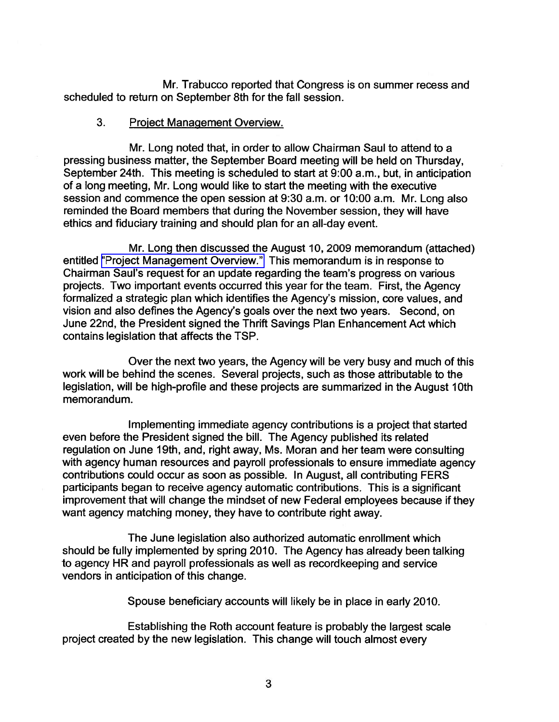Mr. Trabucco reported that Congress is on summer recess and scheduled to return on September 8th for the fall session.

## 3. Project Management Overview.

Mr. Long noted that, in order to allow Chairman Saul to attend to a pressing business matter, the September Board meeting will be held on Thursday, September 24th. This meeting is scheduled to start at 9:00 a.m., but, in anticipation of a long meeting, Mr. Long would like to start the meeting with the executive session and commence the open session at 9:30 a.m. or 10:OO a.m. Mr. Long also reminded the Board members that during the November session, they will have ethics and fiduciary training and should plan for an all-day event.

Mr. Long then discussed the August 10,2009 memorandum (attached) entitled ["Project Management Overview."](http://www.frtib.gov/pdf/minutes/MM-2009Aug-Att3.pdf) This memorandum is in response to Chairman Saul's request for an update regarding the team's progress on various projects. Two important events occurred this year for the team. First, the Agency formalized a strategic plan which identifies the Agency's mission, core values, and vision and also defines the Agency's goals over the next two years. Second, on June 22nd, the President signed the Thrift Savings Plan Enhancement Act which contains legislation that affects the TSP.

Over the next two years, the Agency will be very busy and much of this work will be behind the scenes. Several projects, such as those attributable to the legislation, will be high-profile and these projects are summarized in the August 10th memorandum.

Implementing immediate agency contributions is a project that started even before the President signed the bill. The Agency published its related regulation on June 19th, and, right away, Ms. Moran and her team were consulting with agency human resources and payroll professionals to ensure immediate agency contributions could occur as soon as possible. In August, all contributing FERS participants began to receive agency automatic contributions. This is a significant improvement that will change the mindset of new Federal employees because if they want agency matching money, they have to contribute right away.

The June legislation also authorized automatic enrollment which should be fully implemented by spring 2010. The Agency has already been talking to agency HR and payroll professionals as well as recordkeeping and service vendors in anticipation of this change.

Spouse beneficiary accounts will likely be in place in early 2010.

Establishing the Roth account feature is probably the largest scale project created by the new legislation. This change will touch almost every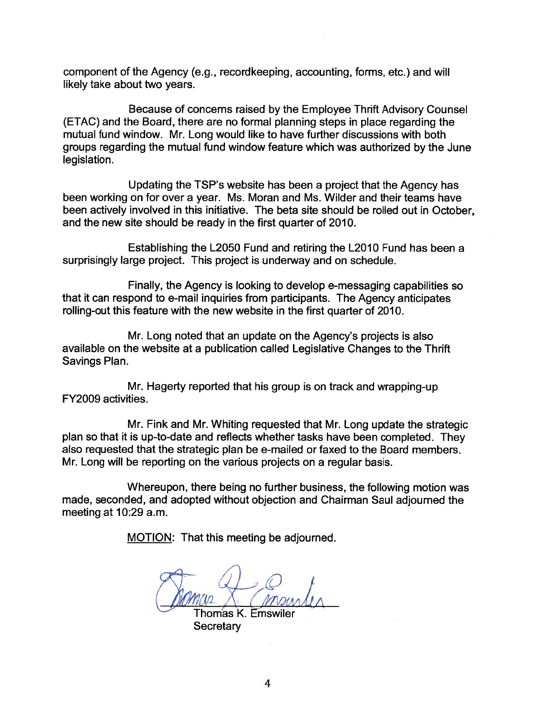component of the Agency (e.g., recordkeeping, accounting, forms, etc.) and will likely take about two years.

Because of concerns raised by the Employee Thrift Advisory Counsel (ETAC) and the Board, there are no formal planning steps in place regarding the mutual fund window. Mr. Long would like to have further discussions with both groups regarding the mutual fund window feature which was authorized by the June legislation.

Updating the TSP's website has been a project that the Agency has been working on for over a year. Ms. Moran and Ms. Wilder and their teams have been actively involved in this initiative. The beta site should be rolled out in October, and the new site should be ready in the first quarter of 2010.

Establishing the L2050 Fund and retiring the L2010 Fund has been a surprisingly large project. This project is underway and on schedule.

Finally, the Agency is looking to develop e-messaging capabilities so that it can respond to e-mail inquiries from participants. The Agency anticipates rolling-out this feature with the new website in the first quarter of 2010.

Mr. Long noted that an update on the Agency's projects is also available on the website at a publication called Legislative Changes to the Thrift Savings Plan.

Mr. Hagerty reported that his group is on track and wrapping-up FY2009 activities.

Mr. Fink and Mr. Whiting requested that Mr. Long update the strategic plan so that it is up-to-date and reflects whether tasks have been completed. They also requested that the strategic plan be e-mailed or faxed to the Board members. Mr. Long will be reporting on the various projects on a regular basis.

Whereupon, there being no further business, the following motion was made, seconded, and adopted without objection and Chairman Saul adjourned the meeting at 10:29 a.m.

MOTION: That this meeting be adjourned.

Thomas K. Emswiler

**Secretary**